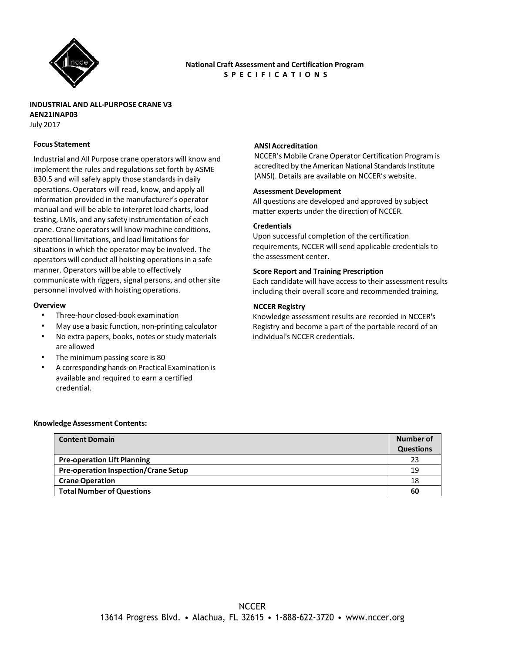

# **National Craft Assessment and Certification Program S P E C I F I C A T I O N S**

**INDUSTRIAL AND ALL-PURPOSE CRANE V3 AEN21INAP03** July 2017

## **Focus Statement**

Industrial and All Purpose crane operators will know and implement the rules and regulations set forth by ASME B30.5 and will safely apply those standards in daily operations. Operators will read, know, and apply all information provided in the manufacturer's operator manual and will be able to interpret load charts, load testing, LMIs, and any safety instrumentation of each crane. Crane operators will know machine conditions, operational limitations, and load limitations for situations in which the operator may be involved. The operators will conduct all hoisting operations in a safe manner. Operators will be able to effectively communicate with riggers, signal persons, and other site personnel involved with hoisting operations.

#### **Overview**

- Three-hour closed-book examination
- May use a basic function, non-printing calculator
- No extra papers, books, notes or study materials are allowed
- The minimum passing score is 80
- A corresponding hands-on Practical Examination is available and required to earn a certified credential.

## **ANSI Accreditation**

NCCER's Mobile Crane Operator Certification Program is accredited by the American National Standards Institute (ANSI). Details are available on NCCER's website.

#### **Assessment Development**

All questions are developed and approved by subject matter experts under the direction of NCCER.

#### **Credentials**

Upon successful completion of the certification requirements, NCCER will send applicable credentials to the assessment center.

#### **Score Report and Training Prescription**

Each candidate will have access to their assessment results including their overall score and recommended training.

## **NCCER Registry**

Knowledge assessment results are recorded in NCCER's Registry and become a part of the portable record of an individual's NCCER credentials.

#### **Knowledge Assessment Contents:**

| <b>Content Domain</b>                       | Number of        |
|---------------------------------------------|------------------|
|                                             | <b>Questions</b> |
| <b>Pre-operation Lift Planning</b>          | 23               |
| <b>Pre-operation Inspection/Crane Setup</b> | 19               |
| <b>Crane Operation</b>                      | 18               |
| <b>Total Number of Questions</b>            | 60               |